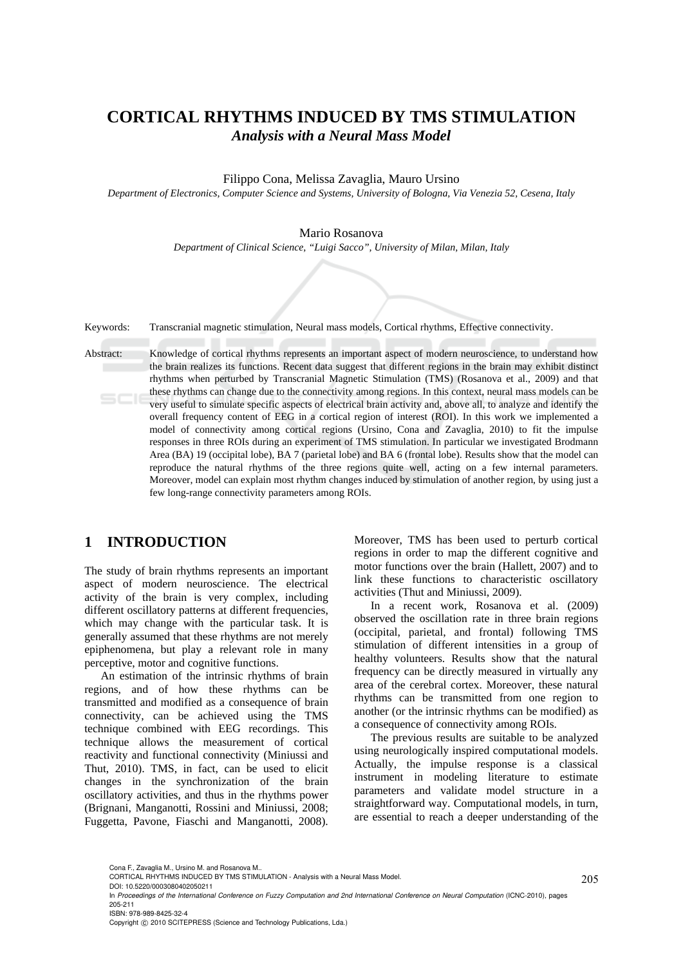# **CORTICAL RHYTHMS INDUCED BY TMS STIMULATION**  *Analysis with a Neural Mass Model*

Filippo Cona, Melissa Zavaglia, Mauro Ursino

*Department of Electronics, Computer Science and Systems, University of Bologna, Via Venezia 52, Cesena, Italy* 

#### Mario Rosanova

*Department of Clinical Science, "Luigi Sacco", University of Milan, Milan, Italy* 

Keywords: Transcranial magnetic stimulation, Neural mass models, Cortical rhythms, Effective connectivity.

Abstract: Knowledge of cortical rhythms represents an important aspect of modern neuroscience, to understand how the brain realizes its functions. Recent data suggest that different regions in the brain may exhibit distinct rhythms when perturbed by Transcranial Magnetic Stimulation (TMS) (Rosanova et al., 2009) and that these rhythms can change due to the connectivity among regions. In this context, neural mass models can be very useful to simulate specific aspects of electrical brain activity and, above all, to analyze and identify the overall frequency content of EEG in a cortical region of interest (ROI). In this work we implemented a model of connectivity among cortical regions (Ursino, Cona and Zavaglia, 2010) to fit the impulse responses in three ROIs during an experiment of TMS stimulation. In particular we investigated Brodmann Area (BA) 19 (occipital lobe), BA 7 (parietal lobe) and BA 6 (frontal lobe). Results show that the model can reproduce the natural rhythms of the three regions quite well, acting on a few internal parameters. Moreover, model can explain most rhythm changes induced by stimulation of another region, by using just a few long-range connectivity parameters among ROIs.

# **1 INTRODUCTION**

The study of brain rhythms represents an important aspect of modern neuroscience. The electrical activity of the brain is very complex, including different oscillatory patterns at different frequencies, which may change with the particular task. It is generally assumed that these rhythms are not merely epiphenomena, but play a relevant role in many perceptive, motor and cognitive functions.

An estimation of the intrinsic rhythms of brain regions, and of how these rhythms can be transmitted and modified as a consequence of brain connectivity, can be achieved using the TMS technique combined with EEG recordings. This technique allows the measurement of cortical reactivity and functional connectivity (Miniussi and Thut, 2010). TMS, in fact, can be used to elicit changes in the synchronization of the brain oscillatory activities, and thus in the rhythms power (Brignani, Manganotti, Rossini and Miniussi, 2008; Fuggetta, Pavone, Fiaschi and Manganotti, 2008).

Moreover, TMS has been used to perturb cortical regions in order to map the different cognitive and motor functions over the brain (Hallett, 2007) and to link these functions to characteristic oscillatory activities (Thut and Miniussi, 2009).

In a recent work, Rosanova et al. (2009) observed the oscillation rate in three brain regions (occipital, parietal, and frontal) following TMS stimulation of different intensities in a group of healthy volunteers. Results show that the natural frequency can be directly measured in virtually any area of the cerebral cortex. Moreover, these natural rhythms can be transmitted from one region to another (or the intrinsic rhythms can be modified) as a consequence of connectivity among ROIs.

The previous results are suitable to be analyzed using neurologically inspired computational models. Actually, the impulse response is a classical instrument in modeling literature to estimate parameters and validate model structure in a straightforward way. Computational models, in turn, are essential to reach a deeper understanding of the

Cona F., Zavaglia M., Ursino M. and Rosanova M..

Copyright © 2010 SCITEPRESS (Science and Technology Publications, Lda.)

CORTICAL RHYTHMS INDUCED BY TMS STIMULATION - Analysis with a Neural Mass Model.

DOI: 10.5220/0003080402050211

In *Proceedings of the International Conference on Fuzzy Computation and 2nd International Conference on Neural Computation* (ICNC-2010), pages 205-211 ISBN: 978-989-8425-32-4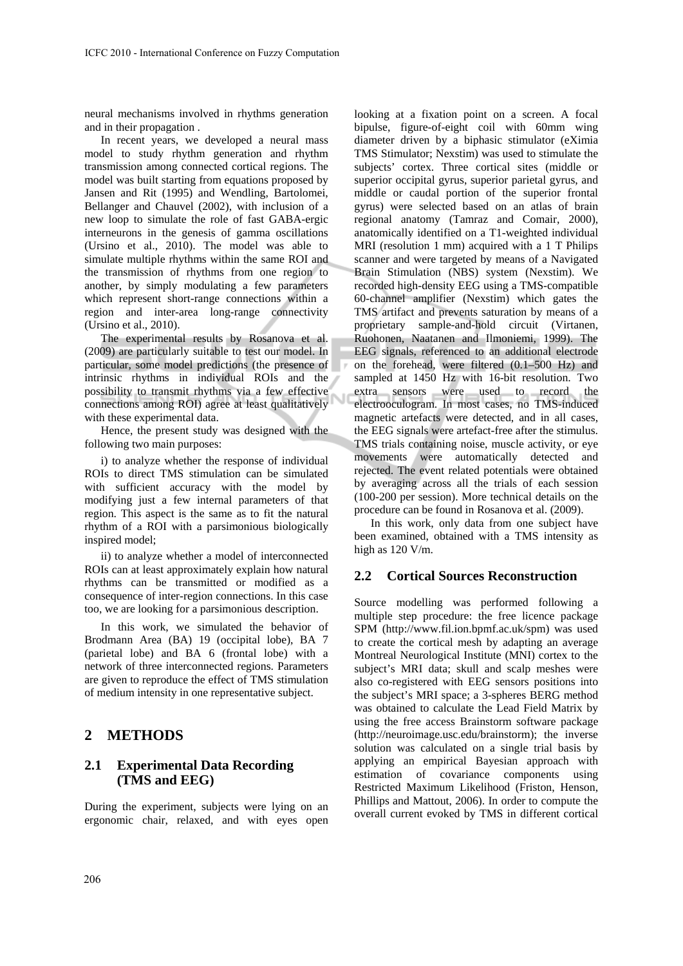neural mechanisms involved in rhythms generation and in their propagation .

In recent years, we developed a neural mass model to study rhythm generation and rhythm transmission among connected cortical regions. The model was built starting from equations proposed by Jansen and Rit (1995) and Wendling, Bartolomei, Bellanger and Chauvel (2002), with inclusion of a new loop to simulate the role of fast GABA-ergic interneurons in the genesis of gamma oscillations (Ursino et al., 2010). The model was able to simulate multiple rhythms within the same ROI and the transmission of rhythms from one region to another, by simply modulating a few parameters which represent short-range connections within a region and inter-area long-range connectivity (Ursino et al., 2010).

The experimental results by Rosanova et al. (2009) are particularly suitable to test our model. In particular, some model predictions (the presence of intrinsic rhythms in individual ROIs and the possibility to transmit rhythms via a few effective connections among ROI) agree at least qualitatively with these experimental data.

Ñ

Hence, the present study was designed with the following two main purposes:

i) to analyze whether the response of individual ROIs to direct TMS stimulation can be simulated with sufficient accuracy with the model by modifying just a few internal parameters of that region. This aspect is the same as to fit the natural rhythm of a ROI with a parsimonious biologically inspired model;

ii) to analyze whether a model of interconnected ROIs can at least approximately explain how natural rhythms can be transmitted or modified as a consequence of inter-region connections. In this case too, we are looking for a parsimonious description.

In this work, we simulated the behavior of Brodmann Area (BA) 19 (occipital lobe), BA 7 (parietal lobe) and BA 6 (frontal lobe) with a network of three interconnected regions. Parameters are given to reproduce the effect of TMS stimulation of medium intensity in one representative subject.

## **2 METHODS**

### **2.1 Experimental Data Recording (TMS and EEG)**

During the experiment, subjects were lying on an ergonomic chair, relaxed, and with eyes open

looking at a fixation point on a screen. A focal bipulse, figure-of-eight coil with 60mm wing diameter driven by a biphasic stimulator (eXimia TMS Stimulator; Nexstim) was used to stimulate the subjects' cortex. Three cortical sites (middle or superior occipital gyrus, superior parietal gyrus, and middle or caudal portion of the superior frontal gyrus) were selected based on an atlas of brain regional anatomy (Tamraz and Comair, 2000), anatomically identified on a T1-weighted individual MRI (resolution 1 mm) acquired with a 1 T Philips scanner and were targeted by means of a Navigated Brain Stimulation (NBS) system (Nexstim). We recorded high-density EEG using a TMS-compatible 60-channel amplifier (Nexstim) which gates the TMS artifact and prevents saturation by means of a proprietary sample-and-hold circuit (Virtanen, Ruohonen, Naatanen and Ilmoniemi, 1999). The EEG signals, referenced to an additional electrode on the forehead, were filtered (0.1–500 Hz) and sampled at 1450 Hz with 16-bit resolution. Two extra sensors were used to record the electrooculogram. In most cases, no TMS-induced magnetic artefacts were detected, and in all cases, the EEG signals were artefact-free after the stimulus. TMS trials containing noise, muscle activity, or eye movements were automatically detected and rejected. The event related potentials were obtained by averaging across all the trials of each session (100-200 per session). More technical details on the procedure can be found in Rosanova et al. (2009).

In this work, only data from one subject have been examined, obtained with a TMS intensity as high as 120 V/m.

## **2.2 Cortical Sources Reconstruction**

Source modelling was performed following a multiple step procedure: the free licence package SPM (http://www.fil.ion.bpmf.ac.uk/spm) was used to create the cortical mesh by adapting an average Montreal Neurological Institute (MNI) cortex to the subject's MRI data; skull and scalp meshes were also co-registered with EEG sensors positions into the subject's MRI space; a 3-spheres BERG method was obtained to calculate the Lead Field Matrix by using the free access Brainstorm software package (http://neuroimage.usc.edu/brainstorm); the inverse solution was calculated on a single trial basis by applying an empirical Bayesian approach with estimation of covariance components using Restricted Maximum Likelihood (Friston, Henson, Phillips and Mattout, 2006). In order to compute the overall current evoked by TMS in different cortical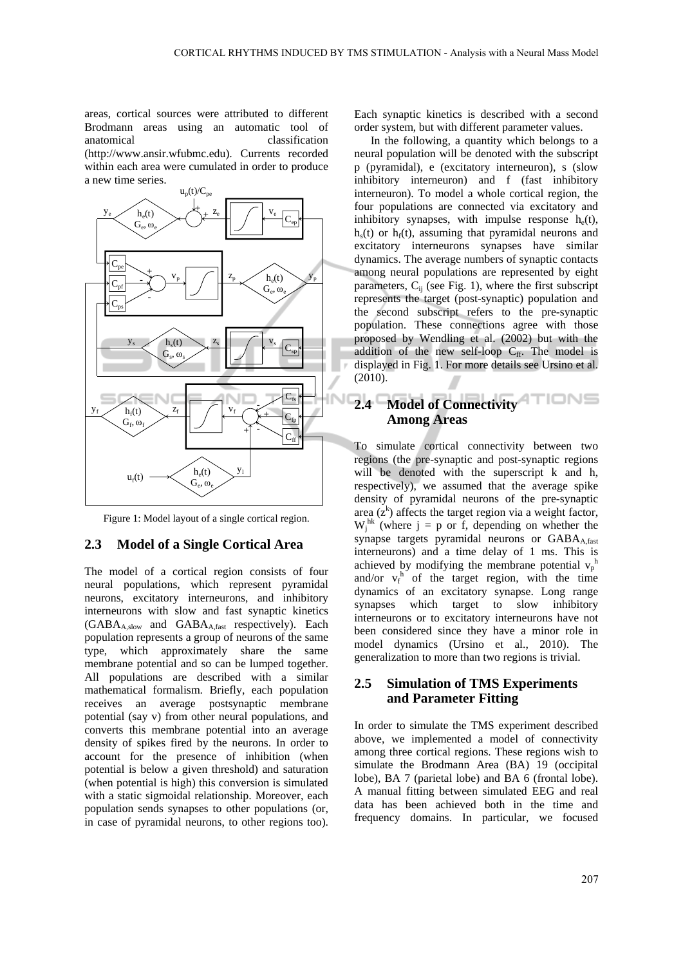areas, cortical sources were attributed to different Brodmann areas using an automatic tool of anatomical classification (http://www.ansir.wfubmc.edu). Currents recorded within each area were cumulated in order to produce a new time series.



Figure 1: Model layout of a single cortical region.

#### **2.3 Model of a Single Cortical Area**

The model of a cortical region consists of four neural populations, which represent pyramidal neurons, excitatory interneurons, and inhibitory interneurons with slow and fast synaptic kinetics  $(GABA_{A,\text{slow}}$  and  $GABA_{A,\text{fast}}$  respectively). Each population represents a group of neurons of the same type, which approximately share the same membrane potential and so can be lumped together. All populations are described with a similar mathematical formalism. Briefly, each population receives an average postsynaptic membrane potential (say v) from other neural populations, and converts this membrane potential into an average density of spikes fired by the neurons. In order to account for the presence of inhibition (when potential is below a given threshold) and saturation (when potential is high) this conversion is simulated with a static sigmoidal relationship. Moreover, each population sends synapses to other populations (or, in case of pyramidal neurons, to other regions too).

Each synaptic kinetics is described with a second order system, but with different parameter values.

In the following, a quantity which belongs to a neural population will be denoted with the subscript p (pyramidal), e (excitatory interneuron), s (slow inhibitory interneuron) and f (fast inhibitory interneuron). To model a whole cortical region, the four populations are connected via excitatory and inhibitory synapses, with impulse response  $h_e(t)$ ,  $h<sub>s</sub>(t)$  or  $h<sub>f</sub>(t)$ , assuming that pyramidal neurons and excitatory interneurons synapses have similar dynamics. The average numbers of synaptic contacts among neural populations are represented by eight parameters,  $C_{ii}$  (see Fig. 1), where the first subscript represents the target (post-synaptic) population and the second subscript refers to the pre-synaptic population. These connections agree with those proposed by Wendling et al. (2002) but with the addition of the new self-loop  $C_{ff}$ . The model is displayed in Fig. 1. For more details see Ursino et al. (2010).

# **2.4 Model of Connectivity Among Areas**

To simulate cortical connectivity between two regions (the pre-synaptic and post-synaptic regions will be denoted with the superscript k and h, respectively), we assumed that the average spike density of pyramidal neurons of the pre-synaptic area  $(z^k)$  affects the target region via a weight factor,  $W_j^{hk}$  (where j = p or f, depending on whether the synapse targets pyramidal neurons or GABA<sub>A.fast</sub> interneurons) and a time delay of 1 ms. This is achieved by modifying the membrane potential  $v_p^h$ and/or  $v_f^h$  of the target region, with the time dynamics of an excitatory synapse. Long range synapses which target to slow inhibitory interneurons or to excitatory interneurons have not been considered since they have a minor role in model dynamics (Ursino et al., 2010). The generalization to more than two regions is trivial.

## **2.5 Simulation of TMS Experiments and Parameter Fitting**

In order to simulate the TMS experiment described above, we implemented a model of connectivity among three cortical regions. These regions wish to simulate the Brodmann Area (BA) 19 (occipital lobe), BA 7 (parietal lobe) and BA 6 (frontal lobe). A manual fitting between simulated EEG and real data has been achieved both in the time and frequency domains. In particular, we focused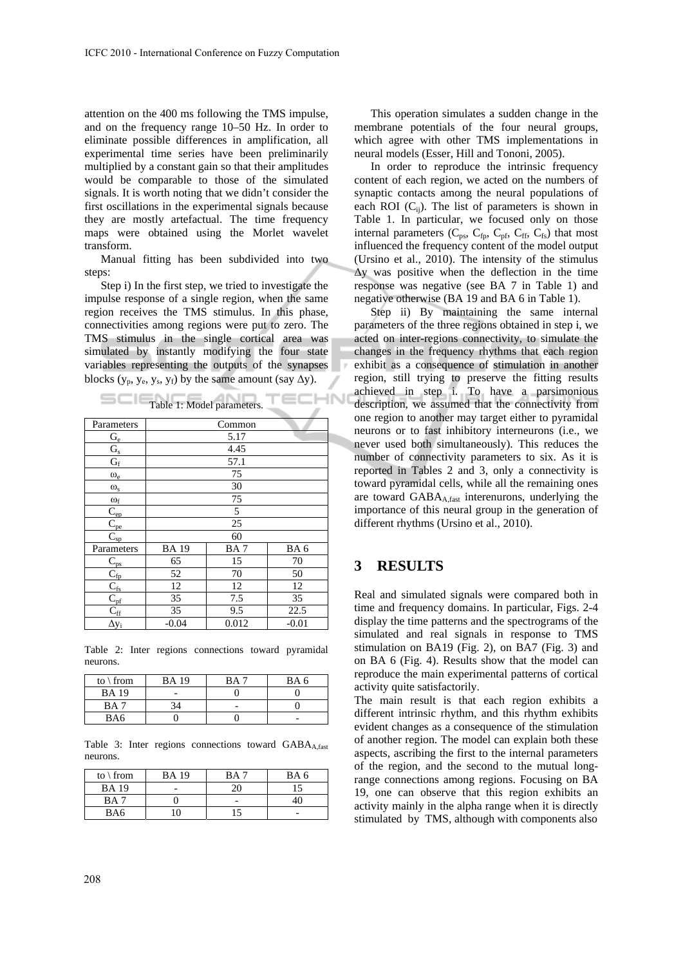attention on the 400 ms following the TMS impulse, and on the frequency range 10–50 Hz. In order to eliminate possible differences in amplification, all experimental time series have been preliminarily multiplied by a constant gain so that their amplitudes would be comparable to those of the simulated signals. It is worth noting that we didn't consider the first oscillations in the experimental signals because they are mostly artefactual. The time frequency maps were obtained using the Morlet wavelet transform.

Manual fitting has been subdivided into two steps:

Step i) In the first step, we tried to investigate the impulse response of a single region, when the same region receives the TMS stimulus. In this phase, connectivities among regions were put to zero. The TMS stimulus in the single cortical area was simulated by instantly modifying the four state variables representing the outputs of the synapses blocks ( $y_p$ ,  $y_e$ ,  $y_s$ ,  $y_f$ ) by the same amount (say  $\Delta y$ ).

|                           | ----- <i>------</i> --- |       |         |  |
|---------------------------|-------------------------|-------|---------|--|
| Parameters                | Common                  |       |         |  |
| $\mathrm{G}_{\mathrm{e}}$ | 5.17                    |       |         |  |
| $G_s$                     | 4.45                    |       |         |  |
| $G_f$                     | 57.1                    |       |         |  |
| $\omega_{\rm e}$          | 75                      |       |         |  |
| $\omega_{\rm s}$          | 30                      |       |         |  |
| $\omega_{\rm f}$          | 75                      |       |         |  |
| $C_{ep}$                  | 5                       |       |         |  |
| $C_{pe}$                  | 25                      |       |         |  |
| $C_{sp}$                  | 60                      |       |         |  |
| Parameters                | <b>BA19</b>             | BA7   | BA6     |  |
| $C_{\rm ps}$              | 65                      | 15    | 70      |  |
| $C_{\text{fp}}$           | 52                      | 70    | 50      |  |
| $C_\mathrm{fs}$           | 12                      | 12    | 12      |  |
| $C_{\rm pf}$              | 35                      | 7.5   | 35      |  |
| $C_{\rm ff}$              | 35                      | 9.5   | 22.5    |  |
| $\Delta y_i$              | $-0.04$                 | 0.012 | $-0.01$ |  |

Table 1: Model parameters.

Table 2: Inter regions connections toward pyramidal neurons.

| to $\iota$ from | <b>BA19</b> | ВA | BA 6 |
|-----------------|-------------|----|------|
| <b>BA</b> 19    |             |    |      |
| BA ′            |             |    |      |
| BA6             |             |    |      |

Table 3: Inter regions connections toward GABA<sub>A,fast</sub> neurons.

| to $\setminus$ from | BA 19    | <b>BA</b> | BA 6 |
|---------------------|----------|-----------|------|
| <b>BA</b> 19        |          |           |      |
| BA 1                |          |           |      |
| BA6                 | $\Omega$ |           |      |

This operation simulates a sudden change in the membrane potentials of the four neural groups, which agree with other TMS implementations in neural models (Esser, Hill and Tononi, 2005).

In order to reproduce the intrinsic frequency content of each region, we acted on the numbers of synaptic contacts among the neural populations of each ROI  $(C_{ii})$ . The list of parameters is shown in Table 1. In particular, we focused only on those internal parameters  $(C_{ps}, C_{fp}, C_{pf}, C_{ff}, C_{fs})$  that most influenced the frequency content of the model output (Ursino et al., 2010). The intensity of the stimulus  $\Delta y$  was positive when the deflection in the time response was negative (see BA 7 in Table 1) and negative otherwise (BA 19 and BA 6 in Table 1).

Step ii) By maintaining the same internal parameters of the three regions obtained in step i, we acted on inter-regions connectivity, to simulate the changes in the frequency rhythms that each region exhibit as a consequence of stimulation in another region, still trying to preserve the fitting results achieved in step i. To have a parsimonious description, we assumed that the connectivity from one region to another may target either to pyramidal neurons or to fast inhibitory interneurons (i.e., we never used both simultaneously). This reduces the number of connectivity parameters to six. As it is reported in Tables 2 and 3, only a connectivity is toward pyramidal cells, while all the remaining ones are toward GABA<sub>A,fast</sub> interenurons, underlying the importance of this neural group in the generation of different rhythms (Ursino et al., 2010).

## **3 RESULTS**

ECHN

Real and simulated signals were compared both in time and frequency domains. In particular, Figs. 2-4 display the time patterns and the spectrograms of the simulated and real signals in response to TMS stimulation on BA19 (Fig. 2), on BA7 (Fig. 3) and on BA 6 (Fig. 4). Results show that the model can reproduce the main experimental patterns of cortical activity quite satisfactorily.

The main result is that each region exhibits a different intrinsic rhythm, and this rhythm exhibits evident changes as a consequence of the stimulation of another region. The model can explain both these aspects, ascribing the first to the internal parameters of the region, and the second to the mutual longrange connections among regions. Focusing on BA 19, one can observe that this region exhibits an activity mainly in the alpha range when it is directly stimulated by TMS, although with components also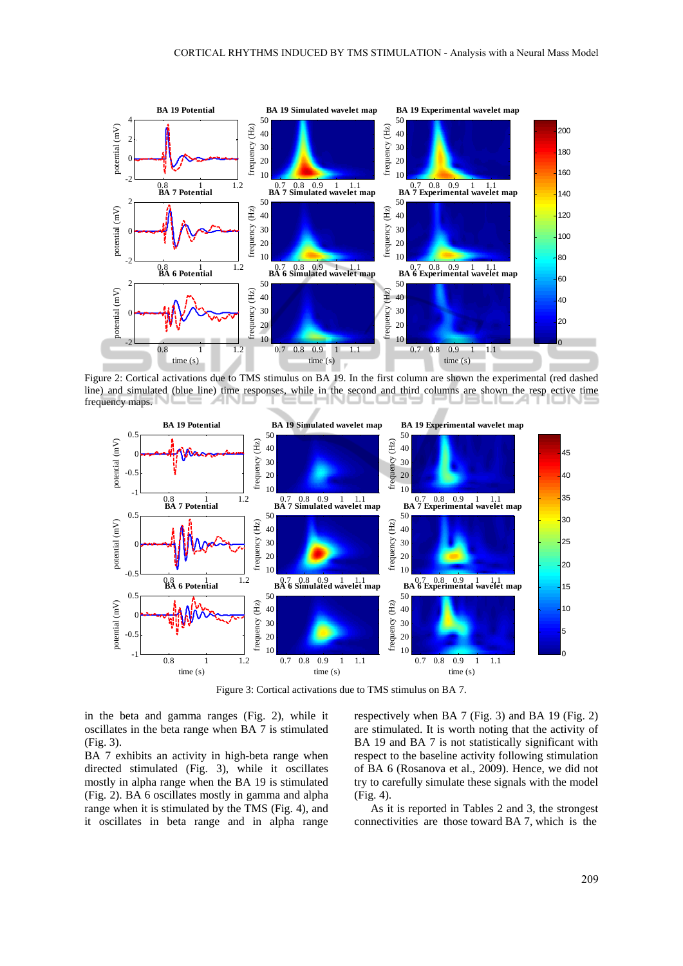

Figure 2: Cortical activations due to TMS stimulus on BA 19. In the first column are shown the experimental (red dashed line) and simulated (blue line) time responses, while in the second and third columns are shown the resp ective time frequency maps.



Figure 3: Cortical activations due to TMS stimulus on BA 7.

in the beta and gamma ranges (Fig. 2), while it oscillates in the beta range when BA 7 is stimulated (Fig. 3).

BA 7 exhibits an activity in high-beta range when directed stimulated (Fig. 3), while it oscillates mostly in alpha range when the BA 19 is stimulated (Fig. 2). BA 6 oscillates mostly in gamma and alpha range when it is stimulated by the TMS (Fig. 4), and it oscillates in beta range and in alpha range respectively when BA 7 (Fig. 3) and BA 19 (Fig. 2) are stimulated. It is worth noting that the activity of BA 19 and BA 7 is not statistically significant with respect to the baseline activity following stimulation of BA 6 (Rosanova et al., 2009). Hence, we did not try to carefully simulate these signals with the model (Fig. 4).

As it is reported in Tables 2 and 3, the strongest connectivities are those toward BA 7, which is the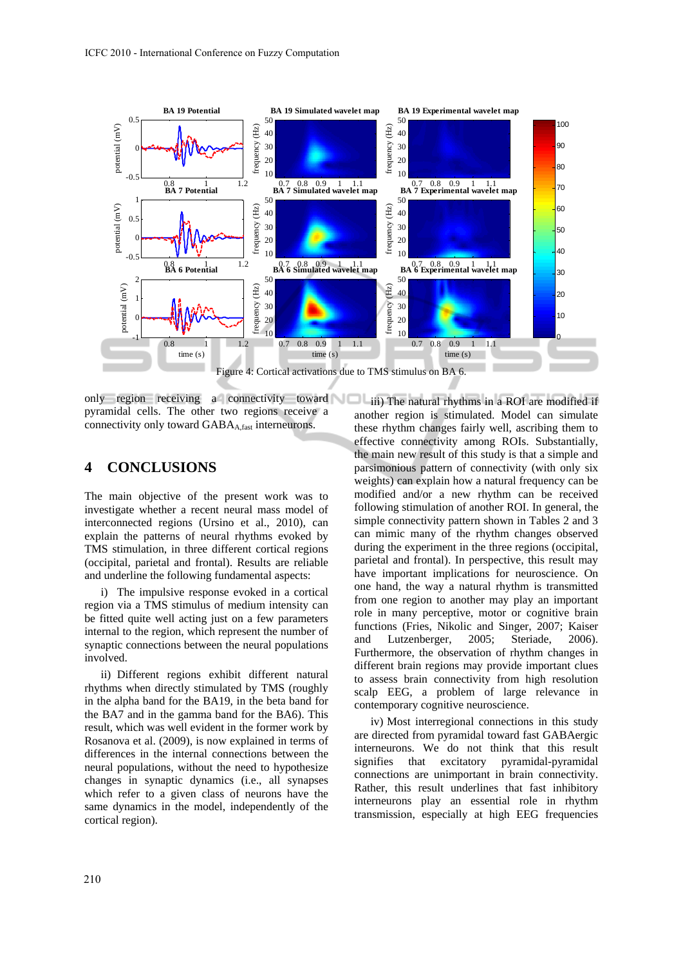

only region receiving a connectivity toward pyramidal cells. The other two regions receive a connectivity only toward  $GABA_{A,fast}$  interneurons.

## **4 CONCLUSIONS**

The main objective of the present work was to investigate whether a recent neural mass model of interconnected regions (Ursino et al., 2010), can explain the patterns of neural rhythms evoked by TMS stimulation, in three different cortical regions (occipital, parietal and frontal). Results are reliable and underline the following fundamental aspects:

i) The impulsive response evoked in a cortical region via a TMS stimulus of medium intensity can be fitted quite well acting just on a few parameters internal to the region, which represent the number of synaptic connections between the neural populations involved.

ii) Different regions exhibit different natural rhythms when directly stimulated by TMS (roughly in the alpha band for the BA19, in the beta band for the BA7 and in the gamma band for the BA6). This result, which was well evident in the former work by Rosanova et al. (2009), is now explained in terms of differences in the internal connections between the neural populations, without the need to hypothesize changes in synaptic dynamics (i.e., all synapses which refer to a given class of neurons have the same dynamics in the model, independently of the cortical region).

iii) The natural rhythms in a ROI are modified if another region is stimulated. Model can simulate these rhythm changes fairly well, ascribing them to effective connectivity among ROIs. Substantially, the main new result of this study is that a simple and parsimonious pattern of connectivity (with only six weights) can explain how a natural frequency can be modified and/or a new rhythm can be received following stimulation of another ROI. In general, the simple connectivity pattern shown in Tables 2 and 3 can mimic many of the rhythm changes observed during the experiment in the three regions (occipital, parietal and frontal). In perspective, this result may have important implications for neuroscience. On one hand, the way a natural rhythm is transmitted from one region to another may play an important role in many perceptive, motor or cognitive brain functions (Fries, Nikolic and Singer, 2007; Kaiser and Lutzenberger, 2005; Steriade, 2006). Furthermore, the observation of rhythm changes in different brain regions may provide important clues to assess brain connectivity from high resolution scalp EEG, a problem of large relevance in contemporary cognitive neuroscience.

iv) Most interregional connections in this study are directed from pyramidal toward fast GABAergic interneurons. We do not think that this result signifies that excitatory pyramidal-pyramidal connections are unimportant in brain connectivity. Rather, this result underlines that fast inhibitory interneurons play an essential role in rhythm transmission, especially at high EEG frequencies